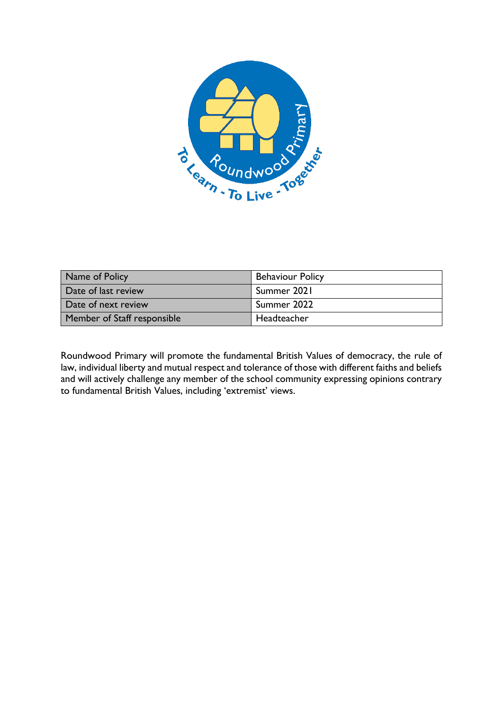

| Name of Policy              | <b>Behaviour Policy</b>  |
|-----------------------------|--------------------------|
| Date of last review         | <sup>1</sup> Summer 2021 |
| Date of next review         | Summer 2022              |
| Member of Staff responsible | Headteacher              |

Roundwood Primary will promote the fundamental British Values of democracy, the rule of law, individual liberty and mutual respect and tolerance of those with different faiths and beliefs and will actively challenge any member of the school community expressing opinions contrary to fundamental British Values, including 'extremist' views.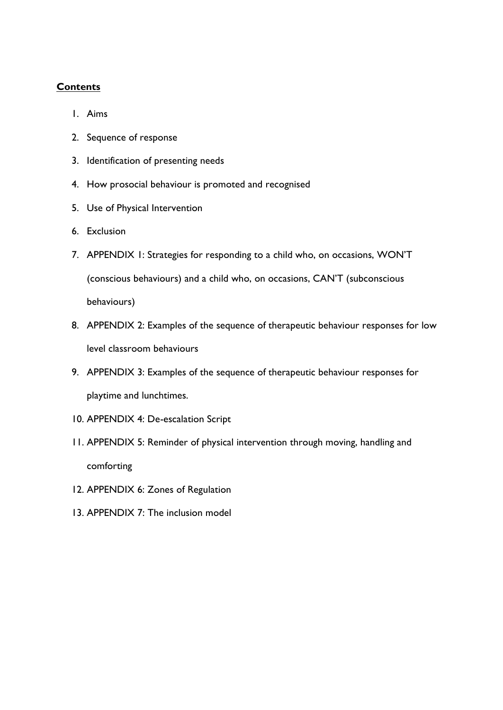# **Contents**

- 1. Aims
- 2. Sequence of response
- 3. Identification of presenting needs
- 4. How prosocial behaviour is promoted and recognised
- 5. Use of Physical Intervention
- 6. Exclusion
- 7. APPENDIX 1: Strategies for responding to a child who, on occasions, WON'T (conscious behaviours) and a child who, on occasions, CAN'T (subconscious behaviours)
- 8. APPENDIX 2: Examples of the sequence of therapeutic behaviour responses for low level classroom behaviours
- 9. APPENDIX 3: Examples of the sequence of therapeutic behaviour responses for playtime and lunchtimes.
- 10. APPENDIX 4: De-escalation Script
- 11. APPENDIX 5: Reminder of physical intervention through moving, handling and comforting
- 12. APPENDIX 6: Zones of Regulation
- 13. APPENDIX 7: The inclusion model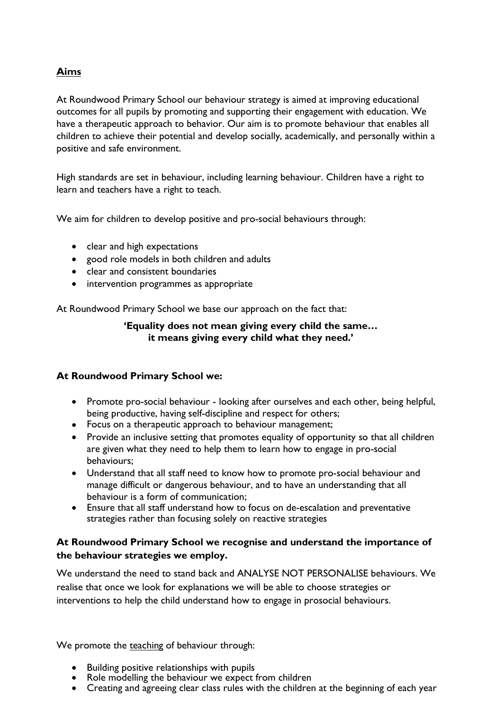### **Aims**

At Roundwood Primary School our behaviour strategy is aimed at improving educational outcomes for all pupils by promoting and supporting their engagement with education. We have a therapeutic approach to behavior. Our aim is to promote behaviour that enables all children to achieve their potential and develop socially, academically, and personally within a positive and safe environment.

High standards are set in behaviour, including learning behaviour. Children have a right to learn and teachers have a right to teach.

We aim for children to develop positive and pro-social behaviours through:

- clear and high expectations
- good role models in both children and adults
- clear and consistent boundaries
- intervention programmes as appropriate

At Roundwood Primary School we base our approach on the fact that:

#### **'Equality does not mean giving every child the same… it means giving every child what they need.'**

### **At Roundwood Primary School we:**

- Promote pro-social behaviour looking after ourselves and each other, being helpful, being productive, having self-discipline and respect for others;
- Focus on a therapeutic approach to behaviour management;
- Provide an inclusive setting that promotes equality of opportunity so that all children are given what they need to help them to learn how to engage in pro-social behaviours;
- Understand that all staff need to know how to promote pro-social behaviour and manage difficult or dangerous behaviour, and to have an understanding that all behaviour is a form of communication;
- Ensure that all staff understand how to focus on de-escalation and preventative strategies rather than focusing solely on reactive strategies

### **At Roundwood Primary School we recognise and understand the importance of the behaviour strategies we employ.**

We understand the need to stand back and ANALYSE NOT PERSONALISE behaviours. We realise that once we look for explanations we will be able to choose strategies or interventions to help the child understand how to engage in prosocial behaviours.

We promote the teaching of behaviour through:

- Building positive relationships with pupils
- Role modelling the behaviour we expect from children
- Creating and agreeing clear class rules with the children at the beginning of each year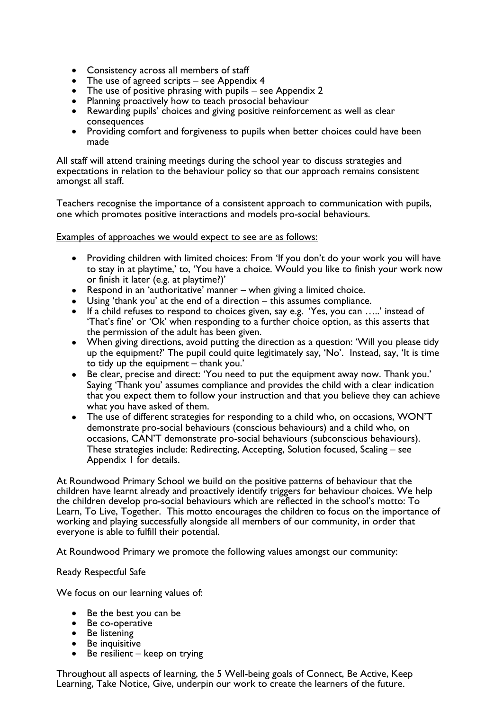- Consistency across all members of staff
- The use of agreed scripts see Appendix 4
- The use of positive phrasing with pupils see Appendix 2
- Planning proactively how to teach prosocial behaviour
- Rewarding pupils' choices and giving positive reinforcement as well as clear consequences
- Providing comfort and forgiveness to pupils when better choices could have been made

All staff will attend training meetings during the school year to discuss strategies and expectations in relation to the behaviour policy so that our approach remains consistent amongst all staff.

Teachers recognise the importance of a consistent approach to communication with pupils, one which promotes positive interactions and models pro-social behaviours.

Examples of approaches we would expect to see are as follows:

- Providing children with limited choices: From 'If you don't do your work you will have to stay in at playtime,' to, 'You have a choice. Would you like to finish your work now or finish it later (e.g. at playtime?)'
- Respond in an 'authoritative' manner when giving a limited choice.
- Using 'thank you' at the end of a direction this assumes compliance.
- If a child refuses to respond to choices given, say e.g. 'Yes, you can …..' instead of 'That's fine' or 'Ok' when responding to a further choice option, as this asserts that the permission of the adult has been given.
- When giving directions, avoid putting the direction as a question: 'Will you please tidy up the equipment?' The pupil could quite legitimately say, 'No'. Instead, say, 'It is time to tidy up the equipment – thank you.'
- Be clear, precise and direct: 'You need to put the equipment away now. Thank you.' Saying 'Thank you' assumes compliance and provides the child with a clear indication that you expect them to follow your instruction and that you believe they can achieve what you have asked of them.
- The use of different strategies for responding to a child who, on occasions, WON'T demonstrate pro-social behaviours (conscious behaviours) and a child who, on occasions, CAN'T demonstrate pro-social behaviours (subconscious behaviours). These strategies include: Redirecting, Accepting, Solution focused, Scaling – see Appendix 1 for details.

At Roundwood Primary School we build on the positive patterns of behaviour that the children have learnt already and proactively identify triggers for behaviour choices. We help the children develop pro-social behaviours which are reflected in the school's motto: To Learn, To Live, Together. This motto encourages the children to focus on the importance of working and playing successfully alongside all members of our community, in order that everyone is able to fulfill their potential.

At Roundwood Primary we promote the following values amongst our community:

Ready Respectful Safe

We focus on our learning values of:

- Be the best you can be
- Be co-operative
- Be listening
- Be inquisitive
- Be resilient keep on trying

Throughout all aspects of learning, the 5 Well-being goals of Connect, Be Active, Keep Learning, Take Notice, Give, underpin our work to create the learners of the future.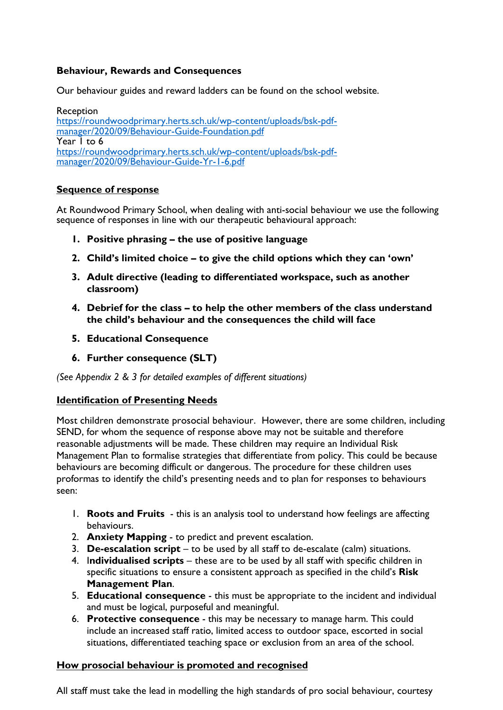### **Behaviour, Rewards and Consequences**

Our behaviour guides and reward ladders can be found on the school website.

Reception [https://roundwoodprimary.herts.sch.uk/wp-content/uploads/bsk-pdf](https://roundwoodprimary.herts.sch.uk/wp-content/uploads/bsk-pdf-manager/2020/09/Behaviour-Guide-Foundation.pdf)[manager/2020/09/Behaviour-Guide-Foundation.pdf](https://roundwoodprimary.herts.sch.uk/wp-content/uploads/bsk-pdf-manager/2020/09/Behaviour-Guide-Foundation.pdf) Year 1 to 6 [https://roundwoodprimary.herts.sch.uk/wp-content/uploads/bsk-pdf](https://roundwoodprimary.herts.sch.uk/wp-content/uploads/bsk-pdf-manager/2020/09/Behaviour-Guide-Yr-1-6.pdf)[manager/2020/09/Behaviour-Guide-Yr-1-6.pdf](https://roundwoodprimary.herts.sch.uk/wp-content/uploads/bsk-pdf-manager/2020/09/Behaviour-Guide-Yr-1-6.pdf)

### **Sequence of response**

At Roundwood Primary School, when dealing with anti-social behaviour we use the following sequence of responses in line with our therapeutic behavioural approach:

- **1. Positive phrasing – the use of positive language**
- **2. Child's limited choice – to give the child options which they can 'own'**
- **3. Adult directive (leading to differentiated workspace, such as another classroom)**
- **4. Debrief for the class – to help the other members of the class understand the child's behaviour and the consequences the child will face**
- **5. Educational Consequence**
- **6. Further consequence (SLT)**

*(See Appendix 2 & 3 for detailed examples of different situations)*

#### **Identification of Presenting Needs**

Most children demonstrate prosocial behaviour. However, there are some children, including SEND, for whom the sequence of response above may not be suitable and therefore reasonable adjustments will be made. These children may require an Individual Risk Management Plan to formalise strategies that differentiate from policy. This could be because behaviours are becoming difficult or dangerous. The procedure for these children uses proformas to identify the child's presenting needs and to plan for responses to behaviours seen:

- 1. **Roots and Fruits**  this is an analysis tool to understand how feelings are affecting behaviours.
- 2. **Anxiety Mapping**  to predict and prevent escalation.
- 3. **De-escalation script** to be used by all staff to de-escalate (calm) situations.
- 4. I**ndividualised scripts** these are to be used by all staff with specific children in specific situations to ensure a consistent approach as specified in the child's **Risk Management Plan**.
- 5. **Educational consequence**  this must be appropriate to the incident and individual and must be logical, purposeful and meaningful.
- 6. **Protective consequence** this may be necessary to manage harm. This could include an increased staff ratio, limited access to outdoor space, escorted in social situations, differentiated teaching space or exclusion from an area of the school.

#### **How prosocial behaviour is promoted and recognised**

All staff must take the lead in modelling the high standards of pro social behaviour, courtesy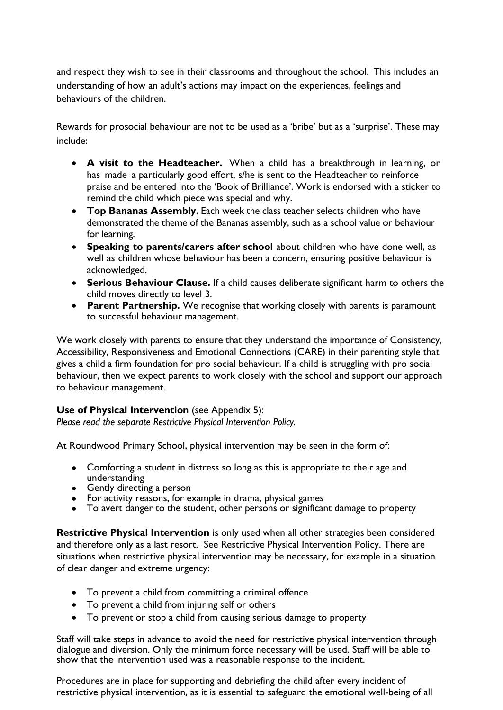and respect they wish to see in their classrooms and throughout the school. This includes an understanding of how an adult's actions may impact on the experiences, feelings and behaviours of the children.

Rewards for prosocial behaviour are not to be used as a 'bribe' but as a 'surprise'. These may include:

- **A visit to the Headteacher.** When a child has a breakthrough in learning, or has made a particularly good effort, s/he is sent to the Headteacher to reinforce praise and be entered into the 'Book of Brilliance'. Work is endorsed with a sticker to remind the child which piece was special and why.
- **Top Bananas Assembly.** Each week the class teacher selects children who have demonstrated the theme of the Bananas assembly, such as a school value or behaviour for learning.
- **Speaking to parents/carers after school** about children who have done well, as well as children whose behaviour has been a concern, ensuring positive behaviour is acknowledged.
- **Serious Behaviour Clause.** If a child causes deliberate significant harm to others the child moves directly to level 3.
- **Parent Partnership.** We recognise that working closely with parents is paramount to successful behaviour management.

We work closely with parents to ensure that they understand the importance of Consistency, Accessibility, Responsiveness and Emotional Connections (CARE) in their parenting style that gives a child a firm foundation for pro social behaviour. If a child is struggling with pro social behaviour, then we expect parents to work closely with the school and support our approach to behaviour management.

### **Use of Physical Intervention** (see Appendix 5):

*Please read the separate Restrictive Physical Intervention Policy.*

At Roundwood Primary School, physical intervention may be seen in the form of:

- Comforting a student in distress so long as this is appropriate to their age and understanding
- Gently directing a person
- For activity reasons, for example in drama, physical games
- To avert danger to the student, other persons or significant damage to property

**Restrictive Physical Intervention** is only used when all other strategies been considered and therefore only as a last resort. See Restrictive Physical Intervention Policy. There are situations when restrictive physical intervention may be necessary, for example in a situation of clear danger and extreme urgency:

- To prevent a child from committing a criminal offence
- To prevent a child from injuring self or others
- To prevent or stop a child from causing serious damage to property

Staff will take steps in advance to avoid the need for restrictive physical intervention through dialogue and diversion. Only the minimum force necessary will be used. Staff will be able to show that the intervention used was a reasonable response to the incident.

Procedures are in place for supporting and debriefing the child after every incident of restrictive physical intervention, as it is essential to safeguard the emotional well-being of all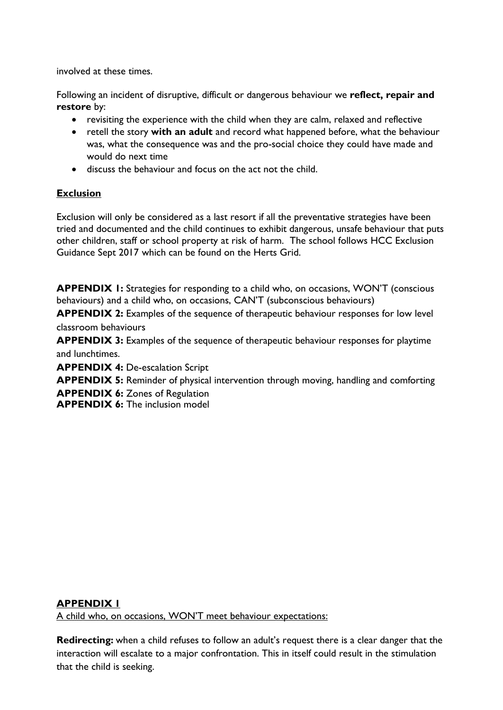involved at these times.

Following an incident of disruptive, difficult or dangerous behaviour we **reflect, repair and restore** by:

- revisiting the experience with the child when they are calm, relaxed and reflective
- retell the story **with an adult** and record what happened before, what the behaviour was, what the consequence was and the pro-social choice they could have made and would do next time
- discuss the behaviour and focus on the act not the child.

# **Exclusion**

Exclusion will only be considered as a last resort if all the preventative strategies have been tried and documented and the child continues to exhibit dangerous, unsafe behaviour that puts other children, staff or school property at risk of harm. The school follows HCC Exclusion Guidance Sept 2017 which can be found on the Herts Grid.

**APPENDIX 1:** Strategies for responding to a child who, on occasions, WON'T (conscious behaviours) and a child who, on occasions, CAN'T (subconscious behaviours)

**APPENDIX 2:** Examples of the sequence of therapeutic behaviour responses for low level classroom behaviours

**APPENDIX 3:** Examples of the sequence of therapeutic behaviour responses for playtime and lunchtimes.

**APPENDIX 4:** De-escalation Script

**APPENDIX 5:** Reminder of physical intervention through moving, handling and comforting

**APPENDIX 6:** Zones of Regulation

**APPENDIX 6:** The inclusion model

### **APPENDIX 1**

A child who, on occasions, WON'T meet behaviour expectations:

**Redirecting:** when a child refuses to follow an adult's request there is a clear danger that the interaction will escalate to a major confrontation. This in itself could result in the stimulation that the child is seeking.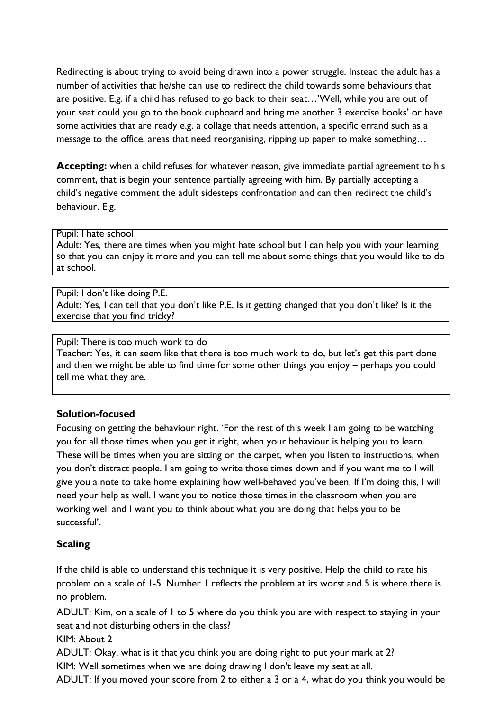Redirecting is about trying to avoid being drawn into a power struggle. Instead the adult has a number of activities that he/she can use to redirect the child towards some behaviours that are positive. E.g. if a child has refused to go back to their seat…'Well, while you are out of your seat could you go to the book cupboard and bring me another 3 exercise books' or have some activities that are ready e.g. a collage that needs attention, a specific errand such as a message to the office, areas that need reorganising, ripping up paper to make something…

**Accepting:** when a child refuses for whatever reason, give immediate partial agreement to his comment, that is begin your sentence partially agreeing with him. By partially accepting a child's negative comment the adult sidesteps confrontation and can then redirect the child's behaviour. E.g.

#### Pupil: I hate school

Adult: Yes, there are times when you might hate school but I can help you with your learning so that you can enjoy it more and you can tell me about some things that you would like to do at school.

Pupil: I don't like doing P.E. Adult: Yes, I can tell that you don't like P.E. Is it getting changed that you don't like? Is it the exercise that you find tricky?

#### Pupil: There is too much work to do Teacher: Yes, it can seem like that there is too much work to do, but let's get this part done and then we might be able to find time for some other things you enjoy – perhaps you could tell me what they are.

# **Solution-focused**

Focusing on getting the behaviour right. 'For the rest of this week I am going to be watching you for all those times when you get it right, when your behaviour is helping you to learn. These will be times when you are sitting on the carpet, when you listen to instructions, when you don't distract people. I am going to write those times down and if you want me to I will give you a note to take home explaining how well-behaved you've been. If I'm doing this, I will need your help as well. I want you to notice those times in the classroom when you are working well and I want you to think about what you are doing that helps you to be successful'.

### **Scaling**

If the child is able to understand this technique it is very positive. Help the child to rate his problem on a scale of 1-5. Number 1 reflects the problem at its worst and 5 is where there is no problem.

ADULT: Kim, on a scale of 1 to 5 where do you think you are with respect to staying in your seat and not disturbing others in the class?

KIM: About 2

ADULT: Okay, what is it that you think you are doing right to put your mark at 2?

KIM: Well sometimes when we are doing drawing I don't leave my seat at all.

ADULT: If you moved your score from 2 to either a 3 or a 4, what do you think you would be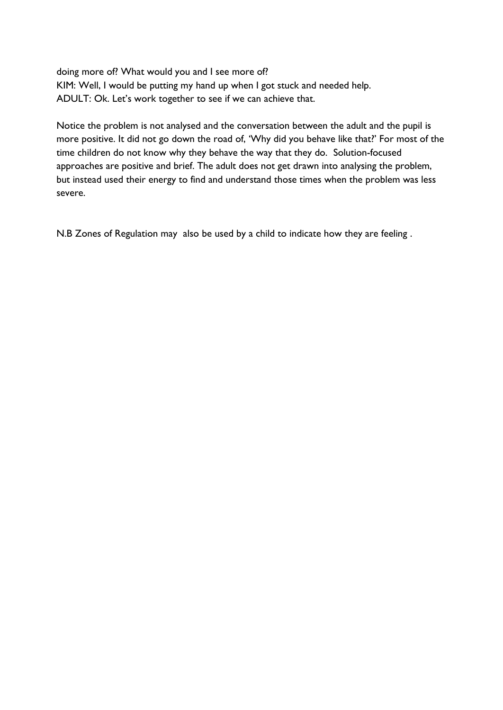doing more of? What would you and I see more of? KIM: Well, I would be putting my hand up when I got stuck and needed help. ADULT: Ok. Let's work together to see if we can achieve that.

Notice the problem is not analysed and the conversation between the adult and the pupil is more positive. It did not go down the road of, 'Why did you behave like that?' For most of the time children do not know why they behave the way that they do. Solution-focused approaches are positive and brief. The adult does not get drawn into analysing the problem, but instead used their energy to find and understand those times when the problem was less severe.

N.B Zones of Regulation may also be used by a child to indicate how they are feeling .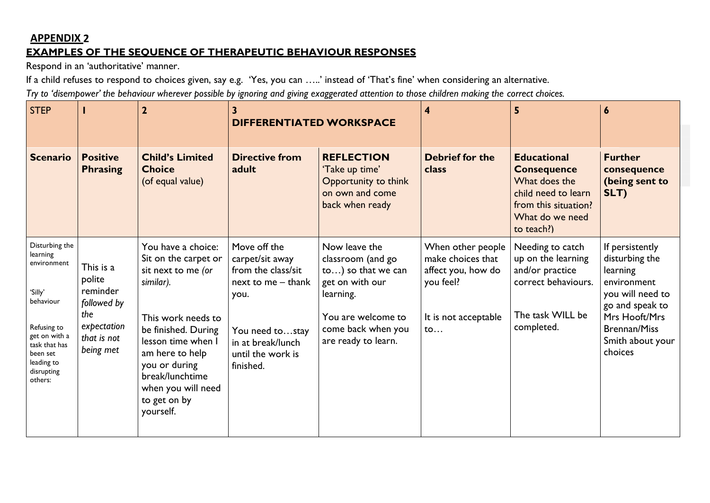# **APPENDIX 2 EXAMPLES OF THE SEQUENCE OF THERAPEUTIC BEHAVIOUR RESPONSES**

Respond in an 'authoritative' manner.

If a child refuses to respond to choices given, say e.g. 'Yes, you can …..' instead of 'That's fine' when considering an alternative.

Try to 'disempower' the behaviour wherever possible by ignoring and giving exaggerated attention to those children making the correct choices.

| <b>STEP</b>                                                                                                                                                           |                                                                                                  | $\overline{\mathbf{2}}$                                                                                                                                                                                                                                    | <b>DIFFERENTIATED WORKSPACE</b>                                                                                                                               |                                                                                                                                                             | 4                                                                                                                        | 5                                                                                                                                         | 6                                                                                                                                                                          |
|-----------------------------------------------------------------------------------------------------------------------------------------------------------------------|--------------------------------------------------------------------------------------------------|------------------------------------------------------------------------------------------------------------------------------------------------------------------------------------------------------------------------------------------------------------|---------------------------------------------------------------------------------------------------------------------------------------------------------------|-------------------------------------------------------------------------------------------------------------------------------------------------------------|--------------------------------------------------------------------------------------------------------------------------|-------------------------------------------------------------------------------------------------------------------------------------------|----------------------------------------------------------------------------------------------------------------------------------------------------------------------------|
| <b>Scenario</b>                                                                                                                                                       | <b>Positive</b><br><b>Phrasing</b>                                                               | <b>Child's Limited</b><br><b>Choice</b><br>(of equal value)                                                                                                                                                                                                | <b>Directive from</b><br>adult                                                                                                                                | <b>REFLECTION</b><br>'Take up time'<br>Opportunity to think<br>on own and come<br>back when ready                                                           | <b>Debrief for the</b><br>class                                                                                          | <b>Educational</b><br><b>Consequence</b><br>What does the<br>child need to learn<br>from this situation?<br>What do we need<br>to teach?) | <b>Further</b><br>consequence<br>(being sent to<br>SLT)                                                                                                                    |
| Disturbing the<br>learning<br>environment<br>'Silly'<br>behaviour<br>Refusing to<br>get on with a<br>task that has<br>been set<br>leading to<br>disrupting<br>others: | This is a<br>polite<br>reminder<br>followed by<br>the<br>expectation<br>that is not<br>being met | You have a choice:<br>Sit on the carpet or<br>sit next to me (or<br>similar).<br>This work needs to<br>be finished. During<br>lesson time when I<br>am here to help<br>you or during<br>break/lunchtime<br>when you will need<br>to get on by<br>yourself. | Move off the<br>carpet/sit away<br>from the class/sit<br>next to me - thank<br>you.<br>You need tostay<br>in at break/lunch<br>until the work is<br>finished. | Now leave the<br>classroom (and go<br>to) so that we can<br>get on with our<br>learning.<br>You are welcome to<br>come back when you<br>are ready to learn. | When other people<br>make choices that<br>affect you, how do<br>you feel?<br>It is not acceptable<br>$\mathsf{to} \dots$ | Needing to catch<br>up on the learning<br>and/or practice<br>correct behaviours.<br>The task WILL be<br>completed.                        | If persistently<br>disturbing the<br>learning<br>environment<br>you will need to<br>go and speak to<br>Mrs Hooft/Mrs<br><b>Brennan/Miss</b><br>Smith about your<br>choices |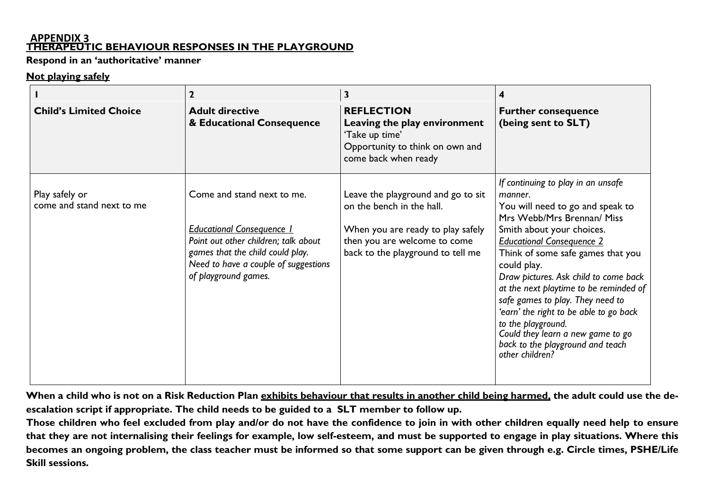#### **APPENDIX 3 THERAPEUTIC BEHAVIOUR RESPONSES IN THE PLAYGROUND**

**Respond in an 'authoritative' manner**

#### **Not playing safely**

|                                             | 2                                                                                                                                                                                                          | 3                                                                                                                                                                         |                                                                                                                                                                                                                                                                                                                                                                                                                                                                                                                         |
|---------------------------------------------|------------------------------------------------------------------------------------------------------------------------------------------------------------------------------------------------------------|---------------------------------------------------------------------------------------------------------------------------------------------------------------------------|-------------------------------------------------------------------------------------------------------------------------------------------------------------------------------------------------------------------------------------------------------------------------------------------------------------------------------------------------------------------------------------------------------------------------------------------------------------------------------------------------------------------------|
| <b>Child's Limited Choice</b>               | <b>Adult directive</b><br>& Educational Consequence                                                                                                                                                        | <b>REFLECTION</b><br>Leaving the play environment<br>'Take up time'<br>Opportunity to think on own and<br>come back when ready                                            | <b>Further consequence</b><br>(being sent to SLT)                                                                                                                                                                                                                                                                                                                                                                                                                                                                       |
| Play safely or<br>come and stand next to me | Come and stand next to me.<br><b>Educational Consequence 1</b><br>Point out other children; talk about<br>games that the child could play.<br>Need to have a couple of suggestions<br>of playground games. | Leave the playground and go to sit<br>on the bench in the hall.<br>When you are ready to play safely<br>then you are welcome to come<br>back to the playground to tell me | If continuing to play in an unsafe<br>manner.<br>You will need to go and speak to<br>Mrs Webb/Mrs Brennan/ Miss<br>Smith about your choices.<br><b>Educational Consequence 2</b><br>Think of some safe games that you<br>could play.<br>Draw pictures. Ask child to come back<br>at the next playtime to be reminded of<br>safe games to play. They need to<br>'earn' the right to be able to go back<br>to the playground.<br>Could they learn a new game to go<br>back to the playground and teach<br>other children? |

**When a child who is not on a Risk Reduction Plan exhibits behaviour that results in another child being harmed, the adult could use the deescalation script if appropriate. The child needs to be guided to a SLT member to follow up.**

Those children who feel excluded from play and/or do not have the confidence to join in with other children equally need help to ensure that they are not internalising their feelings for example, low self-esteem, and must be supported to engage in play situations. Where this becomes an ongoing problem, the class teacher must be informed so that some support can be given through e.g. Circle times, PSHE/Life **Skill sessions.**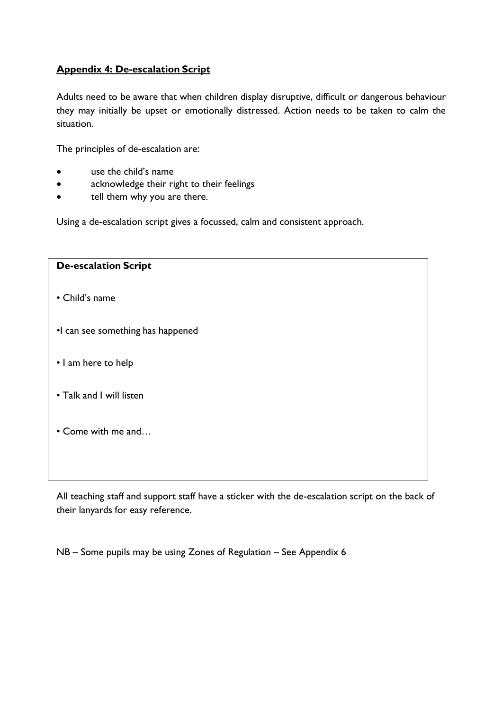### **Appendix 4: De-escalation Script**

Adults need to be aware that when children display disruptive, difficult or dangerous behaviour they may initially be upset or emotionally distressed. Action needs to be taken to calm the situation.

The principles of de-escalation are:

- use the child's name
- acknowledge their right to their feelings
- tell them why you are there.

Using a de-escalation script gives a focussed, calm and consistent approach.

| <b>De-escalation Script</b>       |
|-----------------------------------|
| • Child's name                    |
| •I can see something has happened |
| • I am here to help               |
| • Talk and I will listen          |
| • Come with me and                |
|                                   |

All teaching staff and support staff have a sticker with the de-escalation script on the back of their lanyards for easy reference.

NB – Some pupils may be using Zones of Regulation – See Appendix 6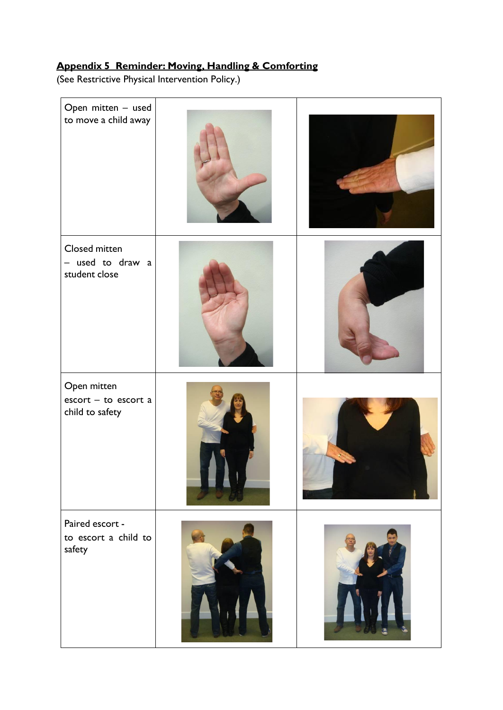# **Appendix 5 Reminder: Moving, Handling & Comforting**

(See Restrictive Physical Intervention Policy.)

| Open mitten - used<br>to move a child away                                     |  |
|--------------------------------------------------------------------------------|--|
| Closed mitten<br>- used to draw a<br>student close                             |  |
| Open mitten<br>$\text{escort} - \text{to} \text{ escort a}$<br>child to safety |  |
| Paired escort -<br>to escort a child to<br>safety                              |  |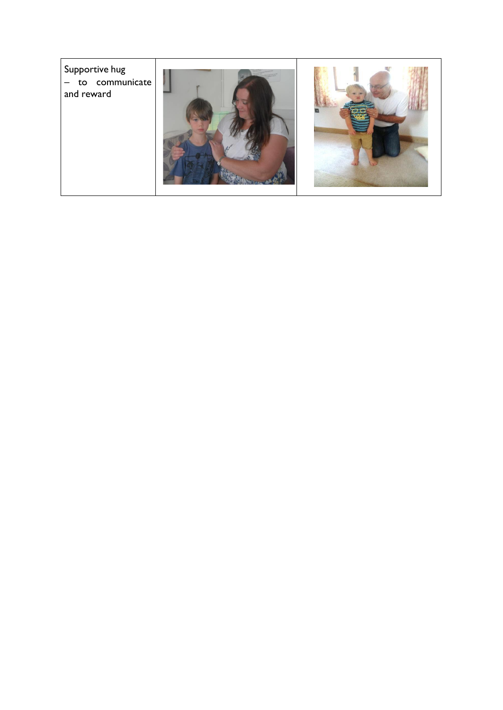Supportive hug – to communicate and reward



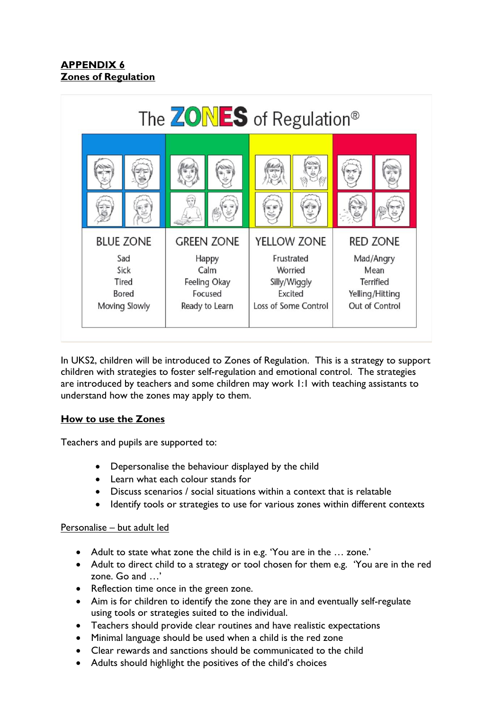# **APPENDIX 6 Zones of Regulation**



In UKS2, children will be introduced to Zones of Regulation. This is a strategy to support children with strategies to foster self-regulation and emotional control. The strategies are introduced by teachers and some children may work 1:1 with teaching assistants to understand how the zones may apply to them.

# **How to use the Zones**

Teachers and pupils are supported to:

- Depersonalise the behaviour displayed by the child
- Learn what each colour stands for
- Discuss scenarios / social situations within a context that is relatable
- Identify tools or strategies to use for various zones within different contexts

### Personalise – but adult led

- Adult to state what zone the child is in e.g. 'You are in the … zone.'
- Adult to direct child to a strategy or tool chosen for them e.g. 'You are in the red zone. Go and …'
- Reflection time once in the green zone.
- Aim is for children to identify the zone they are in and eventually self-regulate using tools or strategies suited to the individual.
- Teachers should provide clear routines and have realistic expectations
- Minimal language should be used when a child is the red zone
- Clear rewards and sanctions should be communicated to the child
- Adults should highlight the positives of the child's choices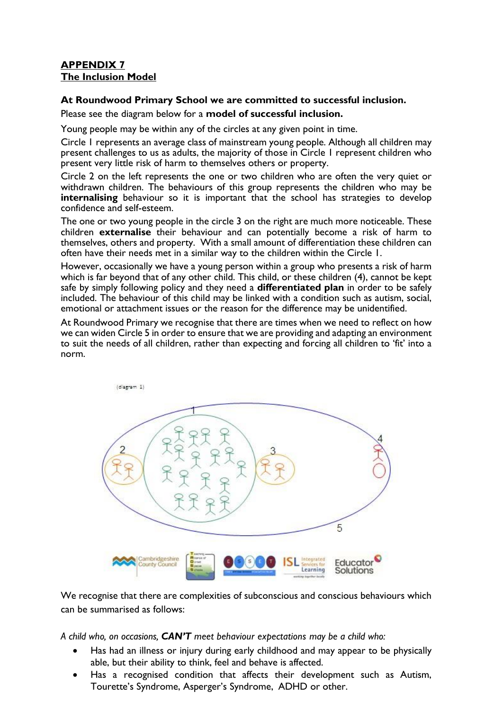### **APPENDIX 7 The Inclusion Model**

#### **At Roundwood Primary School we are committed to successful inclusion.**

Please see the diagram below for a **model of successful inclusion.**

Young people may be within any of the circles at any given point in time.

Circle 1 represents an average class of mainstream young people. Although all children may present challenges to us as adults, the majority of those in Circle 1 represent children who present very little risk of harm to themselves others or property.

Circle 2 on the left represents the one or two children who are often the very quiet or withdrawn children. The behaviours of this group represents the children who may be **internalising** behaviour so it is important that the school has strategies to develop confidence and self-esteem.

The one or two young people in the circle 3 on the right are much more noticeable. These children **externalise** their behaviour and can potentially become a risk of harm to themselves, others and property. With a small amount of differentiation these children can often have their needs met in a similar way to the children within the Circle 1.

However, occasionally we have a young person within a group who presents a risk of harm which is far beyond that of any other child. This child, or these children (4), cannot be kept safe by simply following policy and they need a **differentiated plan** in order to be safely included. The behaviour of this child may be linked with a condition such as autism, social, emotional or attachment issues or the reason for the difference may be unidentified.

At Roundwood Primary we recognise that there are times when we need to reflect on how we can widen Circle 5 in order to ensure that we are providing and adapting an environment to suit the needs of all children, rather than expecting and forcing all children to 'fit' into a norm.



We recognise that there are complexities of subconscious and conscious behaviours which can be summarised as follows:

*A child who, on occasions, CAN'T meet behaviour expectations may be a child who:*

- Has had an illness or injury during early childhood and may appear to be physically able, but their ability to think, feel and behave is affected.
- Has a recognised condition that affects their development such as Autism, Tourette's Syndrome, Asperger's Syndrome, ADHD or other.